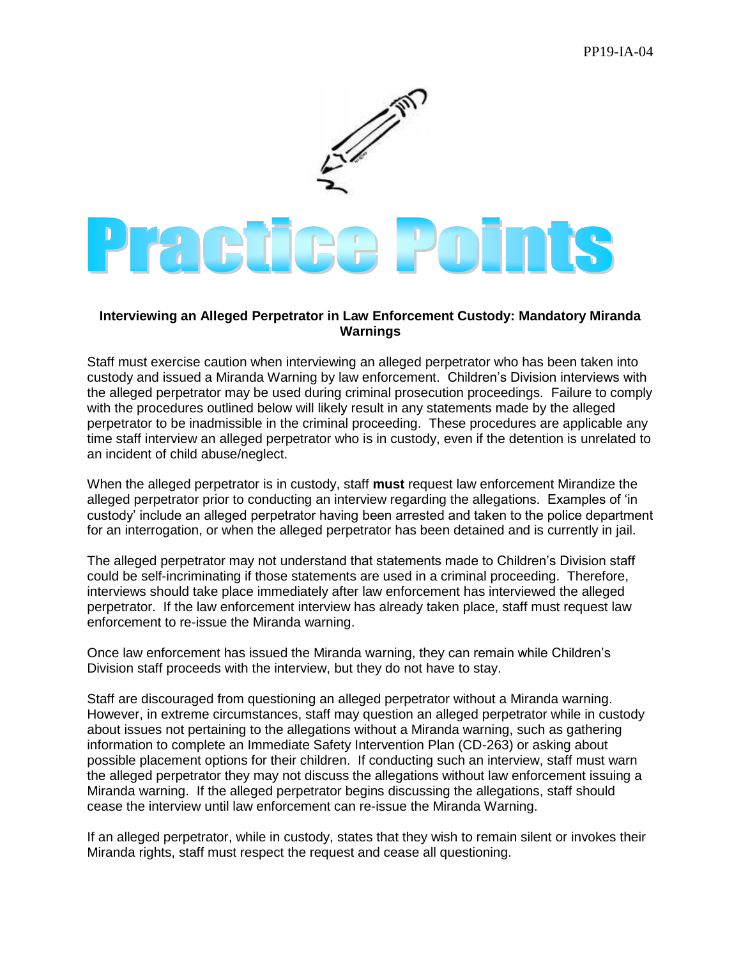

## **Interviewing an Alleged Perpetrator in Law Enforcement Custody: Mandatory Miranda Warnings**

Staff must exercise caution when interviewing an alleged perpetrator who has been taken into custody and issued a Miranda Warning by law enforcement. Children's Division interviews with the alleged perpetrator may be used during criminal prosecution proceedings. Failure to comply with the procedures outlined below will likely result in any statements made by the alleged perpetrator to be inadmissible in the criminal proceeding. These procedures are applicable any time staff interview an alleged perpetrator who is in custody, even if the detention is unrelated to an incident of child abuse/neglect.

When the alleged perpetrator is in custody, staff **must** request law enforcement Mirandize the alleged perpetrator prior to conducting an interview regarding the allegations. Examples of 'in custody' include an alleged perpetrator having been arrested and taken to the police department for an interrogation, or when the alleged perpetrator has been detained and is currently in jail.

The alleged perpetrator may not understand that statements made to Children's Division staff could be self-incriminating if those statements are used in a criminal proceeding. Therefore, interviews should take place immediately after law enforcement has interviewed the alleged perpetrator. If the law enforcement interview has already taken place, staff must request law enforcement to re-issue the Miranda warning.

Once law enforcement has issued the Miranda warning, they can remain while Children's Division staff proceeds with the interview, but they do not have to stay.

Staff are discouraged from questioning an alleged perpetrator without a Miranda warning. However, in extreme circumstances, staff may question an alleged perpetrator while in custody about issues not pertaining to the allegations without a Miranda warning, such as gathering information to complete an Immediate Safety Intervention Plan (CD-263) or asking about possible placement options for their children. If conducting such an interview, staff must warn the alleged perpetrator they may not discuss the allegations without law enforcement issuing a Miranda warning. If the alleged perpetrator begins discussing the allegations, staff should cease the interview until law enforcement can re-issue the Miranda Warning.

If an alleged perpetrator, while in custody, states that they wish to remain silent or invokes their Miranda rights, staff must respect the request and cease all questioning.